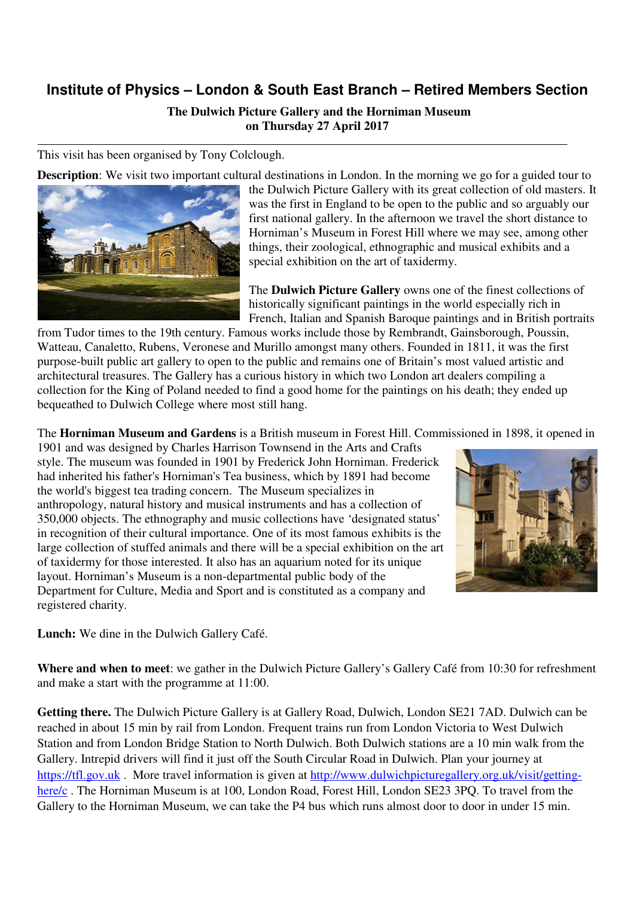## **Institute of Physics – London & South East Branch – Retired Members Section**

 **The Dulwich Picture Gallery and the Horniman Museum on Thursday 27 April 2017** 

This visit has been organised by Tony Colclough.

**Description**: We visit two important cultural destinations in London. In the morning we go for a guided tour to



the Dulwich Picture Gallery with its great collection of old masters. It was the first in England to be open to the public and so arguably our first national gallery. In the afternoon we travel the short distance to Horniman's Museum in Forest Hill where we may see, among other things, their zoological, ethnographic and musical exhibits and a special exhibition on the art of taxidermy.

The **Dulwich Picture Gallery** owns one of the finest collections of historically significant paintings in the world especially rich in French, Italian and Spanish Baroque paintings and in British portraits

from Tudor times to the 19th century. Famous works include those by Rembrandt, Gainsborough, Poussin, Watteau, Canaletto, Rubens, Veronese and Murillo amongst many others. Founded in 1811, it was the first purpose-built public art gallery to open to the public and remains one of Britain's most valued artistic and architectural treasures. The Gallery has a curious history in which two London art dealers compiling a collection for the King of Poland needed to find a good home for the paintings on his death; they ended up bequeathed to Dulwich College where most still hang.

The **Horniman Museum and Gardens** is a British museum in Forest Hill. Commissioned in 1898, it opened in

1901 and was designed by Charles Harrison Townsend in the Arts and Crafts style. The museum was founded in 1901 by Frederick John Horniman. Frederick had inherited his father's Horniman's Tea business, which by 1891 had become the world's biggest tea trading concern. The Museum specializes in anthropology, natural history and musical instruments and has a collection of 350,000 objects. The ethnography and music collections have 'designated status' in recognition of their cultural importance. One of its most famous exhibits is the large collection of stuffed animals and there will be a special exhibition on the art of taxidermy for those interested. It also has an aquarium noted for its unique layout. Horniman's Museum is a non-departmental public body of the Department for Culture, Media and Sport and is constituted as a company and registered charity.



**Lunch:** We dine in the Dulwich Gallery Café.

**Where and when to meet**: we gather in the Dulwich Picture Gallery's Gallery Café from 10:30 for refreshment and make a start with the programme at 11:00.

**Getting there.** The Dulwich Picture Gallery is at Gallery Road, Dulwich, London SE21 7AD. Dulwich can be reached in about 15 min by rail from London. Frequent trains run from London Victoria to West Dulwich Station and from London Bridge Station to North Dulwich. Both Dulwich stations are a 10 min walk from the Gallery. Intrepid drivers will find it just off the South Circular Road in Dulwich. Plan your journey at https://tfl.gov.uk . More travel information is given at http://www.dulwichpicturegallery.org.uk/visit/gettinghere/c . The Horniman Museum is at 100, London Road, Forest Hill, London SE23 3PQ. To travel from the Gallery to the Horniman Museum, we can take the P4 bus which runs almost door to door in under 15 min.